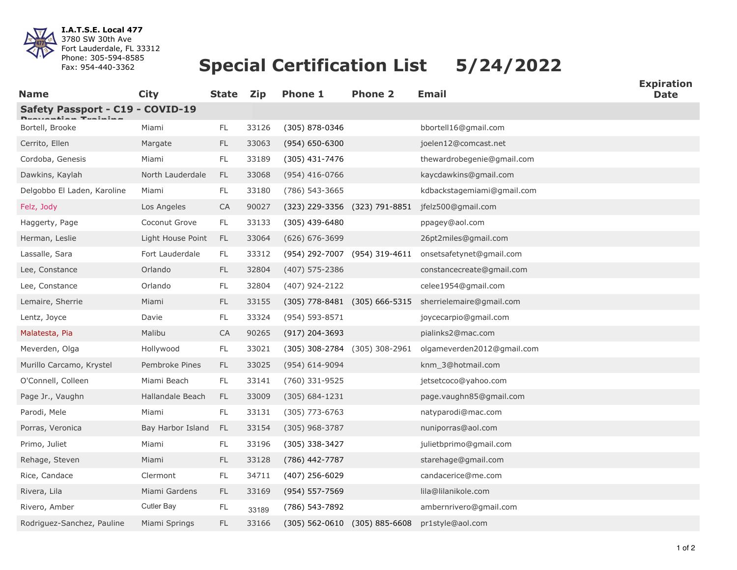

**I.A.T.S.E. Local 477** 3780 SW 30th Ave Fort Lauderdale, FL 33312 Phone: 305-594-8585 Fax: 954-440-3362

## **Special Certification List 5/24/2022**

| <b>Name</b>                      | <b>City</b>       | <b>State</b>  | <b>Zip</b> | <b>Phone 1</b>                    | <b>Phone 2</b>                | <b>Email</b>                                           | ∟лрпч<br><b>Date</b> |  |  |  |  |
|----------------------------------|-------------------|---------------|------------|-----------------------------------|-------------------------------|--------------------------------------------------------|----------------------|--|--|--|--|
| Safety Passport - C19 - COVID-19 |                   |               |            |                                   |                               |                                                        |                      |  |  |  |  |
| Bortell, Brooke                  | Miami             | FL.           | 33126      | (305) 878-0346                    |                               | bbortell16@gmail.com                                   |                      |  |  |  |  |
| Cerrito, Ellen                   | Margate           | FL.           | 33063      | $(954) 650 - 6300$                |                               | joelen12@comcast.net                                   |                      |  |  |  |  |
| Cordoba, Genesis                 | Miami             | FL            | 33189      | $(305)$ 431-7476                  |                               | thewardrobegenie@gmail.com                             |                      |  |  |  |  |
| Dawkins, Kaylah                  | North Lauderdale  | FL            | 33068      | $(954)$ 416-0766                  |                               | kaycdawkins@gmail.com                                  |                      |  |  |  |  |
| Delgobbo El Laden, Karoline      | Miami             | FL            | 33180      | (786) 543-3665                    |                               | kdbackstagemiami@gmail.com                             |                      |  |  |  |  |
| Felz, Jody                       | Los Angeles       | CA            | 90027      |                                   | (323) 229-3356 (323) 791-8851 | jfelz500@gmail.com                                     |                      |  |  |  |  |
| Haggerty, Page                   | Coconut Grove     | FL            | 33133      | $(305)$ 439-6480                  |                               | ppagey@aol.com                                         |                      |  |  |  |  |
| Herman, Leslie                   | Light House Point | <b>FL</b>     | 33064      | $(626) 676 - 3699$                |                               | 26pt2miles@gmail.com                                   |                      |  |  |  |  |
| Lassalle, Sara                   | Fort Lauderdale   | FL            | 33312      |                                   | (954) 292-7007 (954) 319-4611 | onsetsafetynet@gmail.com                               |                      |  |  |  |  |
| Lee, Constance                   | Orlando           | FL.           | 32804      | (407) 575-2386                    |                               | constancecreate@gmail.com                              |                      |  |  |  |  |
| Lee, Constance                   | Orlando           | FL            | 32804      | (407) 924-2122                    |                               | celee1954@gmail.com                                    |                      |  |  |  |  |
| Lemaire, Sherrie                 | Miami             | $\mathsf{FL}$ | 33155      |                                   |                               | (305) 778-8481 (305) 666-5315 sherrielemaire@gmail.com |                      |  |  |  |  |
| Lentz, Joyce                     | Davie             | FL            | 33324      | (954) 593-8571                    |                               | joycecarpio@gmail.com                                  |                      |  |  |  |  |
| Malatesta, Pia                   | Malibu            | <b>CA</b>     | 90265      | (917) 204-3693                    |                               | pialinks2@mac.com                                      |                      |  |  |  |  |
| Meverden, Olga                   | Hollywood         | FL            | 33021      | $(305)$ 308-2784 $(305)$ 308-2961 |                               | olgameverden2012@gmail.com                             |                      |  |  |  |  |
| Murillo Carcamo, Krystel         | Pembroke Pines    | <b>FL</b>     | 33025      | (954) 614-9094                    |                               | knm_3@hotmail.com                                      |                      |  |  |  |  |
| O'Connell, Colleen               | Miami Beach       | FL            | 33141      | (760) 331-9525                    |                               | jetsetcoco@yahoo.com                                   |                      |  |  |  |  |
| Page Jr., Vaughn                 | Hallandale Beach  | <b>FL</b>     | 33009      | $(305) 684 - 1231$                |                               | page.vaughn85@gmail.com                                |                      |  |  |  |  |
| Parodi, Mele                     | Miami             | $\mathsf{FL}$ | 33131      | $(305)$ 773-6763                  |                               | natyparodi@mac.com                                     |                      |  |  |  |  |
| Porras, Veronica                 | Bay Harbor Island | <b>FL</b>     | 33154      | $(305)$ 968-3787                  |                               | nuniporras@aol.com                                     |                      |  |  |  |  |
| Primo, Juliet                    | Miami             | FL            | 33196      | (305) 338-3427                    |                               | julietbprimo@gmail.com                                 |                      |  |  |  |  |
| Rehage, Steven                   | Miami             | FL.           | 33128      | (786) 442-7787                    |                               | starehage@gmail.com                                    |                      |  |  |  |  |
| Rice, Candace                    | Clermont          | FL            | 34711      | $(407)$ 256-6029                  |                               | candacerice@me.com                                     |                      |  |  |  |  |
| Rivera, Lila                     | Miami Gardens     | FL.           | 33169      | (954) 557-7569                    |                               | lila@lilanikole.com                                    |                      |  |  |  |  |
| Rivero, Amber                    | <b>Cutler Bay</b> | FL            | 33189      | (786) 543-7892                    |                               | ambernrivero@gmail.com                                 |                      |  |  |  |  |
| Rodriguez-Sanchez, Pauline       | Miami Springs     | <b>FL</b>     | 33166      |                                   | (305) 562-0610 (305) 885-6608 | pr1style@aol.com                                       |                      |  |  |  |  |

**Expiration**